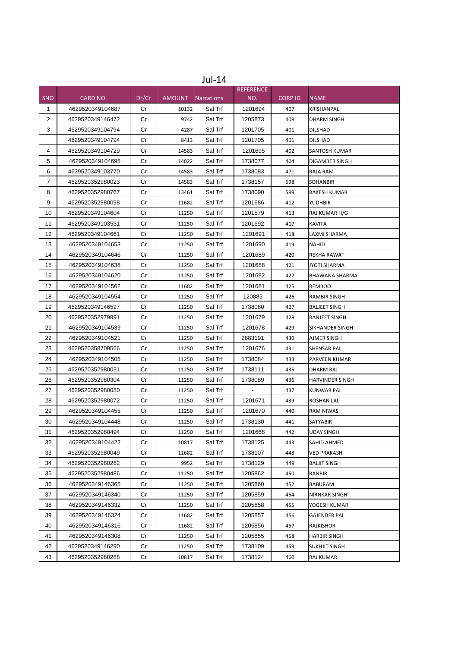|              | Jul-14           |       |               |                   |                  |                |                        |  |
|--------------|------------------|-------|---------------|-------------------|------------------|----------------|------------------------|--|
|              |                  |       |               |                   | <b>REFERENCE</b> |                |                        |  |
| <b>SNO</b>   | CARD NO.         | Dr/Cr | <b>AMOUNT</b> | <b>Narrations</b> | NO.              | <b>CORP ID</b> | <b>NAME</b>            |  |
| $\mathbf{1}$ | 4629520349104687 | Cr    | 10132         | Sal Trf           | 1201694          | 407            | KRISHANPAL             |  |
| 2            | 4629520349146472 | Сr    | 9742          | Sal Trf           | 1205873          | 408            | DHARM SINGH            |  |
| 3            | 4629520349104794 | Cr    | 4287          | Sal Trf           | 1201705          | 401            | <b>DILSHAD</b>         |  |
|              | 4629520349104794 | Cr    | 8413          | Sal Trf           | 1201705          | 401            | <b>DILSHAD</b>         |  |
| 4            | 4629520349104729 | Cr    | 14583         | Sal Trf           | 1201695          | 402            | SANTOSH KUMAR          |  |
| 5            | 4629520349104695 | Cr    | 14022         | Sal Trf           | 1738077          | 404            | DIGAMBER SINGH         |  |
| 6            | 4629520349103770 | Cr    | 14583         | Sal Trf           | 1738083          | 471            | RAJA RAM               |  |
| 7            | 4629520352980023 | Cr    | 14583         | Sal Trf           | 1738157          | 598            | <b>SOHANBIR</b>        |  |
| 8            | 4629520352980767 | Cr    | 13461         | Sal Trf           | 1738090          | 599            | RAKESH KUMAR           |  |
| 9            | 4629520352980098 | Cr    | 11682         | Sal Trf           | 1201686          | 412            | YUDHBIR                |  |
| 10           | 4629520349104604 | Сr    | 11250         | Sal Trf           | 1201579          | 413            | RAJ KUMAR H/G          |  |
| 11           | 4629520349103531 | Cr    | 11250         | Sal Trf           | 1201692          | 417            | <b>KAVITA</b>          |  |
| 12           | 4629520349104661 | Cr    | 11250         | Sal Trf           | 1201691          | 418            | LAXMI SHARMA           |  |
| 13           | 4629520349104653 | Cr    | 11250         | Sal Trf           | 1201690          | 419            | <b>NAHID</b>           |  |
| 14           | 4629520349104646 | Cr    | 11250         | Sal Trf           | 1201689          | 420            | <b>REKHA RAWAT</b>     |  |
| 15           | 4629520349104638 | Cr    | 11250         | Sal Trf           | 1201688          | 421            | <b>JYOTI SHARMA</b>    |  |
| 16           | 4629520349104620 | Cr    | 11250         | Sal Trf           | 1201682          | 422            | <b>BHAWANA SHARMA</b>  |  |
| 17           | 4629520349104562 | Cr    | 11682         | Sal Trf           | 1201681          | 425            | <b>REMBOO</b>          |  |
| 18           | 4629520349104554 | Cr    | 11250         | Sal Trf           | 120885           | 426            | <b>RAMBIR SINGH</b>    |  |
| 19           | 4629520349146597 | Cr    | 11250         | Sal Trf           | 1738080          | 427            | <b>BALJEET SINGH</b>   |  |
| 20           | 4629520352979991 | Cr    | 11250         | Sal Trf           | 1201679          | 428            | RANJEET SINGH          |  |
| 21           | 4629520349104539 | Cr    | 11250         | Sal Trf           | 1201678          | 429            | SIKHANDER SINGH        |  |
| 22           | 4629520349104521 | Cr    | 11250         | Sal Trf           | 2883191          | 430            | AJMER SINGH            |  |
| 23           | 4629520358709566 | Cr    | 11250         | Sal Trf           | 1201676          | 431            | SHENSAR PAL            |  |
| 24           | 4629520349104505 | Cr    | 11250         | Sal Trf           | 1738084          | 433            | PARVEEN KUMAR          |  |
| 25           | 4629520352980031 | Cr    | 11250         | Sal Trf           | 1738111          | 435            | DHARM RAJ              |  |
| 26           | 4629520352980304 | Cr    | 11250         | Sal Trf           | 1738089          | 436            | <b>HARVINDER SINGH</b> |  |
| 27           | 4629520352980080 | Cr    | 11250         | Sal Trf           |                  | 437            | <b>KUNWAR PAL</b>      |  |
| 28           | 4629520352980072 | Cr    | 11250         | Sal Trf           | 1201671          | 439            | ROSHAN LAL             |  |
| 29           | 4629520349104455 | Cr    | 11250         | Sal Trf           | 1201670          | 440            | <b>RAM NIWAS</b>       |  |
| 30           | 4629520349104448 | Cr    | 11250         | Sal Trf           | 1738130          | 441            | <b>SATYABIR</b>        |  |
| 31           | 4629520352980494 | Cr    | 11250         | Sal Trf           | 1201668          | 442            | <b>UDAY SINGH</b>      |  |
| 32           | 4629520349104422 | Cr    | 10817         | Sal Trf           | 1738125          | 443            | SAHID AHMED            |  |
| 33           | 4629520352980049 | Cr    | 11682         | Sal Trf           | 1738107          | 448            | <b>VED PRAKASH</b>     |  |
| 34           | 4629520352980262 | Cr    | 9952          | Sal Trf           | 1738129          | 449            | <b>BALJIT SINGH</b>    |  |
| 35           | 4629520352980486 | Cr    | 11250         | Sal Trf           | 1205862          | 450            | RANBIR                 |  |
| 36           | 4629520349146365 | Cr    | 11250         | Sal Trf           | 1205860          | 452            | <b>BABURAM</b>         |  |
| 37           | 4629520349146340 | Cr    | 11250         | Sal Trf           | 1205859          | 454            | NIRNKAR SINGH          |  |
| 38           | 4629520349146332 | Cr    | 11250         | Sal Trf           | 1205858          | 455            | YOGESH KUMAR           |  |
| 39           | 4629520349146324 | Cr    | 11682         | Sal Trf           | 1205857          | 456            | GAJENDER PAL           |  |
| 40           | 4629520349146316 | Cr    | 11682         | Sal Trf           | 1205856          | 457            | RAJKISHOR              |  |
| 41           | 4629520349146308 | Cr    | 11250         | Sal Trf           | 1205855          | 458            | HARBIR SINGH           |  |
| 42           | 4629520349146290 | Cr    | 11250         | Sal Trf           | 1738109          | 459            | SUKHJIT SINGH          |  |
| 43           | 4629520352980288 | Cr    | 10817         | Sal Trf           | 1738124          | 460            | RAJ KUMAR              |  |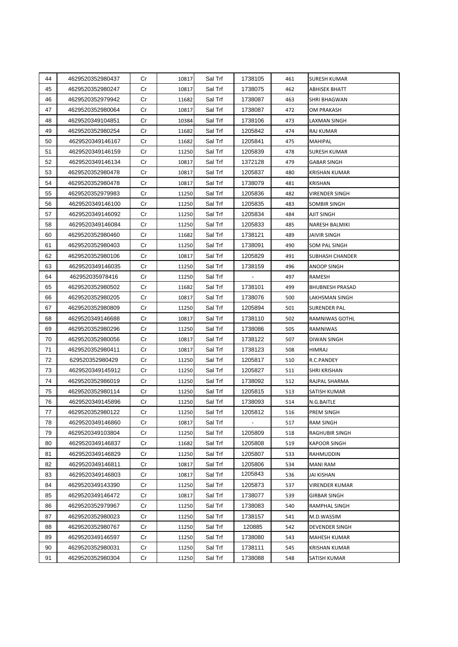| 44 | 4629520352980437 | Cr | 10817 | Sal Trf | 1738105                  | 461 | SURESH KUMAR           |
|----|------------------|----|-------|---------|--------------------------|-----|------------------------|
| 45 | 4629520352980247 | Cr | 10817 | Sal Trf | 1738075                  | 462 | ABHISEK BHATT          |
| 46 | 4629520352979942 | Cr | 11682 | Sal Trf | 1738087                  | 463 | SHRI BHAGWAN           |
| 47 | 4629520352980064 | Cr | 10817 | Sal Trf | 1738087                  | 472 | OM PRAKASH             |
| 48 | 4629520349104851 | Cr | 10384 | Sal Trf | 1738106                  | 473 | LAXMAN SINGH           |
| 49 | 4629520352980254 | Cr | 11682 | Sal Trf | 1205842                  | 474 | RAJ KUMAR              |
| 50 | 4629520349146167 | Cr | 11682 | Sal Trf | 1205841                  | 475 | MAHIPAL                |
| 51 | 4629520349146159 | Cr | 11250 | Sal Trf | 1205839                  | 478 | <b>SURESH KUMAR</b>    |
| 52 | 4629520349146134 | Cr | 10817 | Sal Trf | 1372128                  | 479 | <b>GABAR SINGH</b>     |
| 53 | 4629520352980478 | Cr | 10817 | Sal Trf | 1205837                  | 480 | KRISHAN KUMAR          |
| 54 | 4629520352980478 | Cr | 10817 | Sal Trf | 1738079                  | 481 | KRISHAN                |
| 55 | 4629520352979983 | Cr | 11250 | Sal Trf | 1205836                  | 482 | <b>VIRENDER SINGH</b>  |
| 56 | 4629520349146100 | Cr | 11250 | Sal Trf | 1205835                  | 483 | SOMBIR SINGH           |
| 57 | 4629520349146092 | Cr | 11250 | Sal Trf | 1205834                  | 484 | AJIT SINGH             |
| 58 | 4629520349146084 | Cr | 11250 | Sal Trf | 1205833                  | 485 | <b>NARESH BALMIKI</b>  |
| 60 | 4629520352980460 | Cr | 11682 | Sal Trf | 1738121                  | 489 | <b>JAIVIR SINGH</b>    |
| 61 | 4629520352980403 | Cr | 11250 | Sal Trf | 1738091                  | 490 | SOM PAL SINGH          |
| 62 | 4629520352980106 | Cr | 10817 | Sal Trf | 1205829                  | 491 | SUBHASH CHANDER        |
| 63 | 4629520349146035 | Cr | 11250 | Sal Trf | 1738159                  | 496 | ANOOP SINGH            |
| 64 | 462952035978416  | Cr | 11250 | Sal Trf | $\overline{\phantom{a}}$ | 497 | RAMESH                 |
| 65 | 4629520352980502 | Cr | 11682 | Sal Trf | 1738101                  | 499 | <b>BHUBNESH PRASAD</b> |
| 66 | 4629520352980205 | Cr | 10817 | Sal Trf | 1738076                  | 500 | LAKHSMAN SINGH         |
| 67 | 4629520352980809 | Cr | 11250 | Sal Trf | 1205894                  | 501 | SURENDER PAL           |
| 68 | 4629520349146688 | Cr | 10817 | Sal Trf | 1738110                  | 502 | RAMNIWAS GOTHL         |
| 69 | 4629520352980296 | Cr | 11250 | Sal Trf | 1738086                  | 505 | RAMNIWAS               |
| 70 | 4629520352980056 | Cr | 10817 | Sal Trf | 1738122                  | 507 | DIWAN SINGH            |
| 71 | 4629520352980411 | Cr | 10817 | Sal Trf | 1738123                  | 508 | HIMRAJ                 |
| 72 | 629520352980429  | Cr | 11250 | Sal Trf | 1205817                  | 510 | R.C.PANDEY             |
| 73 | 4629520349145912 | Cr | 11250 | Sal Trf | 1205827                  | 511 | SHRI KRISHAN           |
| 74 | 4629520352986019 | Cr | 11250 | Sal Trf | 1738092                  | 512 | RAJPAL SHARMA          |
| 75 | 4629520352980114 | Cr | 11250 | Sal Trf | 1205815                  | 513 | SATISH KUMAR           |
| 76 | 4629520349145896 | Cr | 11250 | Sal Trf | 1738093                  | 514 | N.G.BAITLE             |
| 77 | 4629520352980122 | Cr | 11250 | Sal Trf | 1205812                  | 516 | PREM SINGH             |
| 78 | 4629520349146860 | Cr | 10817 | Sal Trf |                          | 517 | <b>RAM SINGH</b>       |
| 79 | 4629520349103804 | Cr | 11250 | Sal Trf | 1205809                  | 518 | <b>RAGHUBIR SINGH</b>  |
| 80 | 4629520349146837 | Cr | 11682 | Sal Trf | 1205808                  | 519 | <b>KAPOOR SINGH</b>    |
| 81 | 4629520349146829 | Cr | 11250 | Sal Trf | 1205807                  | 533 | RAHMUDDIN              |
| 82 | 4629520349146811 | Cr | 10817 | Sal Trf | 1205806                  | 534 | MANI RAM               |
| 83 | 4629520349146803 | Cr | 10817 | Sal Trf | 1205843                  | 536 | <b>JAI KISHAN</b>      |
| 84 | 4629520349143390 | Cr | 11250 | Sal Trf | 1205873                  | 537 | VIRENDER KUMAR         |
| 85 | 4629520349146472 | Cr | 10817 | Sal Trf | 1738077                  | 539 | <b>GIRBAR SINGH</b>    |
| 86 | 4629520352979967 | Cr | 11250 | Sal Trf | 1738083                  | 540 | RAMPHAL SINGH          |
| 87 | 4629520352980023 | Cr | 11250 | Sal Trf | 1738157                  | 541 | M.D.WASSIM             |
| 88 | 4629520352980767 | Cr | 11250 | Sal Trf | 120885                   | 542 | <b>DEVENDER SINGH</b>  |
| 89 | 4629520349146597 | Cr | 11250 | Sal Trf | 1738080                  | 543 | MAHESH KUMAR           |
| 90 | 4629520352980031 | Cr | 11250 | Sal Trf | 1738111                  | 545 | KRISHAN KUMAR          |
| 91 | 4629520352980304 | Cr | 11250 | Sal Trf | 1738088                  | 548 | SATISH KUMAR           |
|    |                  |    |       |         |                          |     |                        |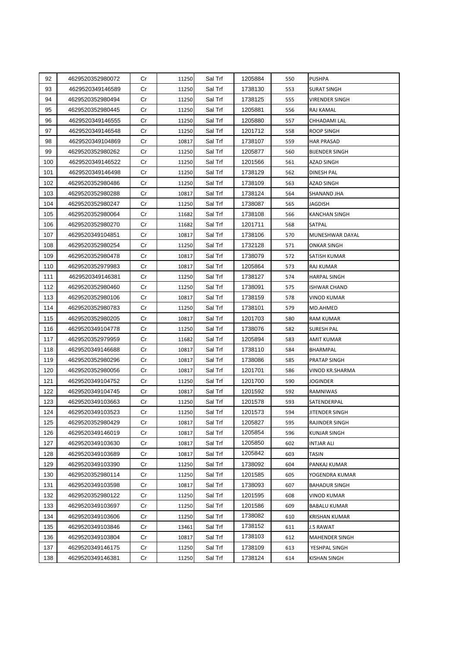| 92  | 4629520352980072 | Cr | 11250 | Sal Trf | 1205884 | 550 | PUSHPA                |
|-----|------------------|----|-------|---------|---------|-----|-----------------------|
| 93  | 4629520349146589 | Cr | 11250 | Sal Trf | 1738130 | 553 | <b>SURAT SINGH</b>    |
| 94  | 4629520352980494 | Cr | 11250 | Sal Trf | 1738125 | 555 | VIRENDER SINGH        |
| 95  | 4629520352980445 | Cr | 11250 | Sal Trf | 1205881 | 556 | RAJ KAMAL             |
| 96  | 4629520349146555 | Cr | 11250 | Sal Trf | 1205880 | 557 | CHHADAMI LAL          |
| 97  | 4629520349146548 | Cr | 11250 | Sal Trf | 1201712 | 558 | ROOP SINGH            |
| 98  | 4629520349104869 | Cr | 10817 | Sal Trf | 1738107 | 559 | <b>HAR PRASAD</b>     |
| 99  | 4629520352980262 | Cr | 11250 | Sal Trf | 1205877 | 560 | <b>BIJENDER SINGH</b> |
| 100 | 4629520349146522 | Cr | 11250 | Sal Trf | 1201566 | 561 | <b>AZAD SINGH</b>     |
| 101 | 4629520349146498 | Cr | 11250 | Sal Trf | 1738129 | 562 | DINESH PAL            |
| 102 | 4629520352980486 | Cr | 11250 | Sal Trf | 1738109 | 563 | AZAD SINGH            |
| 103 | 4629520352980288 | Cr | 10817 | Sal Trf | 1738124 | 564 | SHANAND JHA           |
| 104 | 4629520352980247 | Cr | 11250 | Sal Trf | 1738087 | 565 | <b>JAGDISH</b>        |
| 105 | 4629520352980064 | Cr | 11682 | Sal Trf | 1738108 | 566 | KANCHAN SINGH         |
| 106 | 4629520352980270 | Cr | 11682 | Sal Trf | 1201711 | 568 | SATPAL                |
| 107 | 4629520349104851 | Cr | 10817 | Sal Trf | 1738106 | 570 | MUNESHWAR DAYAL       |
| 108 | 4629520352980254 | Cr | 11250 | Sal Trf | 1732128 | 571 | ONKAR SINGH           |
| 109 | 4629520352980478 | Cr | 10817 | Sal Trf | 1738079 | 572 | SATISH KUMAR          |
| 110 | 4629520352979983 | Cr | 10817 | Sal Trf | 1205864 | 573 | RAJ KUMAR             |
| 111 | 4629520349146381 | Cr | 11250 | Sal Trf | 1738127 | 574 | <b>HARPAL SINGH</b>   |
| 112 | 4629520352980460 | Cr | 11250 | Sal Trf | 1738091 | 575 | <b>ISHWAR CHAND</b>   |
| 113 | 4629520352980106 | Cr | 10817 | Sal Trf | 1738159 | 578 | VINOD KUMAR           |
| 114 | 4629520352980783 | Cr | 11250 | Sal Trf | 1738101 | 579 | MD.AHMED              |
| 115 | 4629520352980205 | Cr | 10817 | Sal Trf | 1201703 | 580 | <b>RAM KUMAR</b>      |
| 116 | 4629520349104778 | Cr | 11250 | Sal Trf | 1738076 | 582 | <b>SURESH PAL</b>     |
| 117 | 4629520352979959 | Cr | 11682 | Sal Trf | 1205894 | 583 | AMIT KUMAR            |
| 118 | 4629520349146688 | Cr | 10817 | Sal Trf | 1738110 | 584 | BHARMPAL              |
| 119 | 4629520352980296 | Cr | 10817 | Sal Trf | 1738086 | 585 | PRATAP SINGH          |
| 120 | 4629520352980056 | Cr | 10817 | Sal Trf | 1201701 | 586 | VINOD KR.SHARMA       |
| 121 | 4629520349104752 | Cr | 11250 | Sal Trf | 1201700 | 590 | JOGINDER              |
| 122 | 4629520349104745 | Cr | 10817 | Sal Trf | 1201592 | 592 | RAMNIWAS              |
| 123 | 4629520349103663 | Cr | 11250 | Sal Trf | 1201578 | 593 | SATENDERPAL           |
| 124 | 4629520349103523 | Cr | 11250 | Sal Trf | 1201573 | 594 | JITENDER SINGH        |
| 125 | 4629520352980429 | Cr | 10817 | Sal Trf | 1205827 | 595 | RAJINDER SINGH        |
| 126 | 4629520349146019 | Cr | 10817 | Sal Trf | 1205854 | 596 | KUNJAR SINGH          |
| 127 | 4629520349103630 | Cr | 10817 | Sal Trf | 1205850 | 602 | INTJAR ALI            |
| 128 | 4629520349103689 | Cr | 10817 | Sal Trf | 1205842 | 603 | <b>TASIN</b>          |
| 129 | 4629520349103390 | Cr | 11250 | Sal Trf | 1738092 | 604 | PANKAJ KUMAR          |
| 130 | 4629520352980114 | Cr | 11250 | Sal Trf | 1201585 | 605 | YOGENDRA KUMAR        |
| 131 | 4629520349103598 | Cr | 10817 | Sal Trf | 1738093 | 607 | <b>BAHADUR SINGH</b>  |
| 132 | 4629520352980122 | Cr | 11250 | Sal Trf | 1201595 | 608 | VINOD KUMAR           |
| 133 | 4629520349103697 | Cr | 11250 | Sal Trf | 1201586 | 609 | <b>BABALU KUMAR</b>   |
| 134 | 4629520349103606 | Cr | 11250 | Sal Trf | 1738082 | 610 | <b>KRISHAN KUMAR</b>  |
| 135 | 4629520349103846 | Cr | 13461 | Sal Trf | 1738152 | 611 | <b>J.S RAWAT</b>      |
| 136 | 4629520349103804 | Cr | 10817 | Sal Trf | 1738103 | 612 | MAHENDER SINGH        |
| 137 | 4629520349146175 | Cr | 11250 | Sal Trf | 1738109 | 613 | YESHPAL SINGH         |
| 138 | 4629520349146381 | Cr | 11250 | Sal Trf | 1738124 | 614 | KISHAN SINGH          |
|     |                  |    |       |         |         |     |                       |